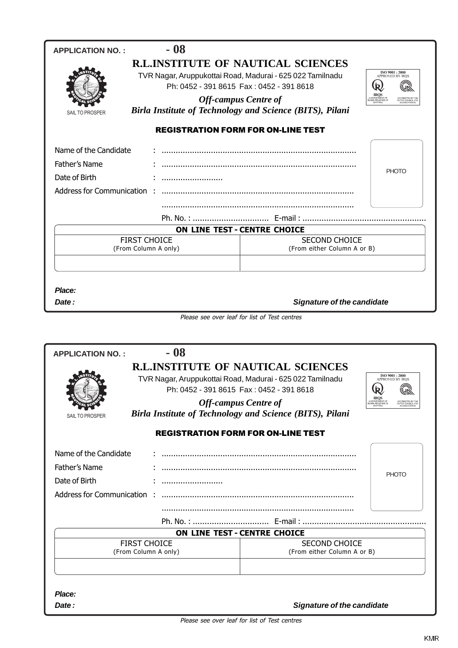| $-08$<br><b>APPLICATION NO.:</b> |                                                                                         |                                          |
|----------------------------------|-----------------------------------------------------------------------------------------|------------------------------------------|
|                                  | <b>R.L.INSTITUTE OF NAUTICAL SCIENCES</b>                                               |                                          |
|                                  | TVR Nagar, Aruppukottai Road, Madurai - 625 022 Tamilnadu                               | ISO 9001:2000<br><b>APPROVED BY IROS</b> |
|                                  | Ph: 0452 - 391 8615 Fax: 0452 - 391 8618                                                | (R                                       |
|                                  | <b>Off-campus Centre of</b>                                                             | DEPARTMENT<br>IAN REGISTER               |
| SAIL TO PROSPER                  | <b>Birla Institute of Technology and Science (BITS), Pilani</b>                         |                                          |
|                                  | <b>REGISTRATION FORM FOR ON-LINE TEST</b>                                               |                                          |
| Name of the Candidate            |                                                                                         |                                          |
| Father's Name                    |                                                                                         |                                          |
| Date of Birth                    |                                                                                         | <b>PHOTO</b>                             |
| Address for Communication:       |                                                                                         |                                          |
|                                  |                                                                                         |                                          |
|                                  |                                                                                         |                                          |
|                                  | ON LINE TEST - CENTRE CHOICE                                                            |                                          |
| <b>FIRST CHOICE</b>              | <b>SECOND CHOICE</b>                                                                    |                                          |
| (From Column A only)             | (From either Column A or B)                                                             |                                          |
|                                  |                                                                                         |                                          |
| $-08$<br><b>APPLICATION NO.:</b> |                                                                                         |                                          |
|                                  | <b>R.L.INSTITUTE OF NAUTICAL SCIENCES</b>                                               | ISO 9001:2000                            |
|                                  | TVR Nagar, Aruppukottai Road, Madurai - 625 022 Tamilnadu                               | <b>APPROVED BY IROS</b>                  |
|                                  | Ph: 0452 - 391 8615 Fax: 0452 - 391 8618                                                | ιÊ<br>IROS                               |
|                                  | <b>Off-campus Centre of</b><br>Birla Institute of Technology and Science (BITS), Pilani |                                          |
| SAIL TO PROSPER                  |                                                                                         |                                          |
|                                  | <b>REGISTRATION FORM FOR ON-LINE TEST</b>                                               |                                          |
| Name of the Candidate            |                                                                                         |                                          |
| Father's Name                    |                                                                                         |                                          |
| Date of Birth                    |                                                                                         | <b>PHOTO</b>                             |
| Address for Communication        |                                                                                         |                                          |
|                                  |                                                                                         |                                          |
|                                  |                                                                                         |                                          |
|                                  | ON LINE TEST - CENTRE CHOICE                                                            |                                          |
| <b>FIRST CHOICE</b>              | <b>SECOND CHOICE</b>                                                                    |                                          |
| (From Column A only)             | (From either Column A or B)                                                             |                                          |
|                                  |                                                                                         |                                          |
|                                  |                                                                                         |                                          |
| Place:                           |                                                                                         |                                          |
| Date:                            | <b>Signature of the candidate</b>                                                       |                                          |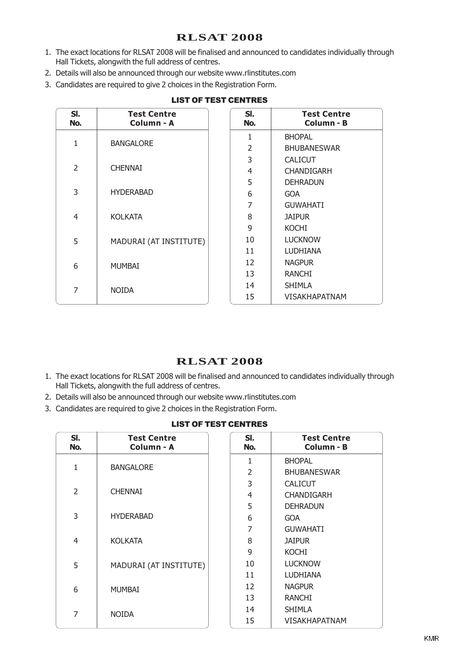# **RLSAT 2008**

- 1. The exact locations for RLSAT 2008 will be finalised and announced to candidates individually through Hall Tickets, alongwith the full address of centres.
- 2. Details will also be announced through our website www.rlinstitutes.com
- 3. Candidates are required to give 2 choices in the Registration Form.

| SI.<br>No.     | <b>Test Centre</b><br>Column - A | SI.<br>No.     | <b>Test Centre</b><br>Column - B |
|----------------|----------------------------------|----------------|----------------------------------|
|                |                                  | 1              | <b>BHOPAL</b>                    |
| 1              | <b>BANGALORE</b>                 | $\overline{2}$ | <b>BHUBANESWAR</b>               |
|                |                                  | 3              | <b>CALICUT</b>                   |
| $\overline{2}$ | <b>CHENNAI</b>                   | 4              | <b>CHANDIGARH</b>                |
|                |                                  | 5              | <b>DEHRADUN</b>                  |
| 3              | <b>HYDERABAD</b>                 | 6              | <b>GOA</b>                       |
|                |                                  | 7              | <b>GUWAHATI</b>                  |
| $\overline{4}$ | <b>KOLKATA</b>                   | 8              | <b>JAIPUR</b>                    |
|                |                                  | 9              | <b>KOCHI</b>                     |
| 5              | MADURAI (AT INSTITUTE)           | 10             | <b>LUCKNOW</b>                   |
|                |                                  | 11             | <b>LUDHIANA</b>                  |
| 6              | <b>MUMBAI</b>                    | 12             | <b>NAGPUR</b>                    |
|                |                                  | 13             | <b>RANCHI</b>                    |
| 7              | <b>NOIDA</b>                     | 14             | <b>SHIMLA</b>                    |
|                |                                  | 15             | VISAKHAPATNAM                    |

#### LIST OF TEST CENTRES

### **RLSAT 2008**

- 1. The exact locations for RLSAT 2008 will be finalised and announced to candidates individually through Hall Tickets, alongwith the full address of centres.
- 2. Details will also be announced through our website www.rlinstitutes.com
- 3. Candidates are required to give 2 choices in the Registration Form.

|  | <b>LIST OF TEST CENTRES</b> |
|--|-----------------------------|
|  |                             |

| SI.<br>No.     | <b>Test Centre</b><br>Column - A | SI.<br>No.     | <b>Test Centre</b><br>Column - B |
|----------------|----------------------------------|----------------|----------------------------------|
|                |                                  | 1              | <b>BHOPAL</b>                    |
| 1              | <b>BANGALORE</b>                 | $\overline{2}$ | <b>BHUBANESWAR</b>               |
|                |                                  | 3              | <b>CALICUT</b>                   |
| $\overline{2}$ | <b>CHENNAI</b>                   | 4              | <b>CHANDIGARH</b>                |
|                |                                  | 5              | <b>DEHRADUN</b>                  |
| 3              | <b>HYDERABAD</b>                 | 6              | <b>GOA</b>                       |
|                |                                  | $\overline{7}$ | <b>GUWAHATI</b>                  |
| 4              | <b>KOLKATA</b>                   | 8              | <b>JAIPUR</b>                    |
|                |                                  | 9              | <b>KOCHI</b>                     |
| 5              | MADURAI (AT INSTITUTE)           | 10             | <b>LUCKNOW</b>                   |
|                |                                  | 11             | <b>LUDHIANA</b>                  |
| 6              | <b>MUMBAI</b>                    | 12             | <b>NAGPUR</b>                    |
|                |                                  | 13             | <b>RANCHI</b>                    |
| 7              | <b>NOIDA</b>                     | 14             | <b>SHIMLA</b>                    |
|                |                                  | 15             | VISAKHAPATNAM                    |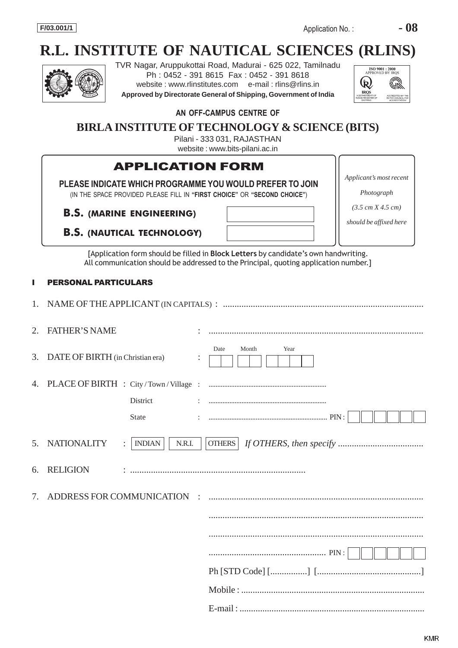# **R.L. INSTITUTE OF NAUTICAL SCIENCES (RLINS)**



TVR Nagar, Aruppukottai Road, Madurai - 625 022, Tamilnadu Ph : 0452 - 391 8615 Fax : 0452 - 391 8618 website : www.rlinstitutes.com e-mail : rlins@rlins.in **Approved by Directorate General of Shipping, Government of India**



*Applicant's most recent*

*Photograph (3.5 cm X 4.5 cm)*

#### AN OFF-CAMPUS CENTRE OF

# **BIRLA INSTITUTE OF TECHNOLOGY & SCIENCE (BITS)**

Pilani - 333 031, RAJASTHAN website : www.bits-pilani.ac.in

# APPLICATION FORM

PLEASE INDICATE WHICH PROGRAMME YOU WOULD PREFER TO JOIN (IN THE SPACE PROVIDED PLEASE FILL IN "FIRST CHOICE

B.S. (MARINE ENGINEERING)

B.S. (NAUTICAL TECHNOLOGY)

| " OR "SECOND CHOICE") | Photograph                           |
|-----------------------|--------------------------------------|
|                       | $(3.5 \text{ cm X } 4.5 \text{ cm})$ |
|                       | should be affixed here               |
|                       |                                      |

[Application form should be filled in Block Letters by candidate's own handwriting. All communication should be addressed to the Principal, quoting application number.]

#### **PERSONAL PARTICULARS**

1. NAME OF THE APPLICANT (IN CAPITALS) : ....................................................................................... 2. FATHER'S NAME : ............................................................................................. 3. DATE OF BIRTH (in Christian era) : 4. PLACE OF BIRTH : City / Town / Village : .................................................................... District : .................................................................... State : .................................................................... PIN : 5. NATIONALITY : | INDIAN | | N.R.I. | | OTHERS | *If OTHERS, then specify ..................................* 6. RELIGION : ............................................................................ 7. ADDRESS FOR COMMUNICATION : ............................................................................................. ............................................................................................. ................................................... PIN : Ph [STD Code] [................] [.............................................] Mobile : ................................................................................ E-mail : ................................................................................. Date Month Year **OTHERS**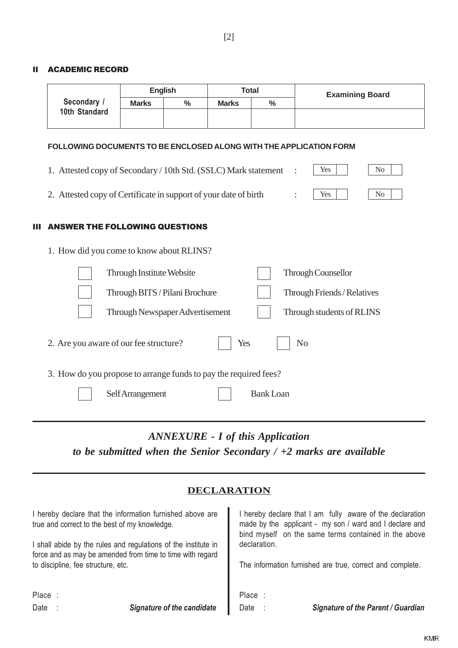#### II ACADEMIC RECORD

|               | <b>English</b> |      |              | Total         | <b>Examining Board</b> |
|---------------|----------------|------|--------------|---------------|------------------------|
| Secondary /   | <b>Marks</b>   | $\%$ | <b>Marks</b> | $\frac{0}{0}$ |                        |
| 10th Standard |                |      |              |               |                        |
|               |                |      |              |               |                        |

#### **FOLLOWING DOCUMENTS TO BE ENCLOSED ALONG WITH THE APPLICATION FORM**

| 1. How did you come to know about RLINS?                          |     |                |
|-------------------------------------------------------------------|-----|----------------|
| <b>III ANSWER THE FOLLOWING QUESTIONS</b>                         |     |                |
| 2. Attested copy of Certificate in support of your date of birth  | Yes | N <sub>0</sub> |
| 1. Attested copy of Secondary / 10th Std. (SSLC) Mark statement : | Yes | N <sub>0</sub> |

| Through Institute Website                                        | <b>Through Counsellor</b>   |
|------------------------------------------------------------------|-----------------------------|
| Through BITS / Pilani Brochure                                   | Through Friends / Relatives |
| Through Newspaper Advertisement                                  | Through students of RLINS   |
| 2. Are you aware of our fee structure?                           | Yes<br>N <sub>0</sub>       |
| 3. How do you propose to arrange funds to pay the required fees? |                             |
| Self Arrangement                                                 | <b>Bank Loan</b>            |
|                                                                  |                             |

*ANNEXURE - I of this Application to be submitted when the Senior Secondary / +2 marks are available*

### **DECLARATION**

| true and correct to the best of my knowledge. | I hereby declare that the information furnished above are      |              | I hereby declare that I am fully aware of the declaration<br>made by the applicant - my son / ward and I declare and<br>bind myself on the same terms contained in the above |
|-----------------------------------------------|----------------------------------------------------------------|--------------|------------------------------------------------------------------------------------------------------------------------------------------------------------------------------|
|                                               | I shall abide by the rules and regulations of the institute in | declaration. |                                                                                                                                                                              |
|                                               | force and as may be amended from time to time with regard      |              |                                                                                                                                                                              |
| to discipline, fee structure, etc.            |                                                                |              | The information furnished are true, correct and complete.                                                                                                                    |
|                                               |                                                                |              |                                                                                                                                                                              |
| Place :                                       |                                                                | Place:       |                                                                                                                                                                              |
| Date                                          | <b>Signature of the candidate</b>                              | Date         | <b>Signature of the Parent / Guardian</b>                                                                                                                                    |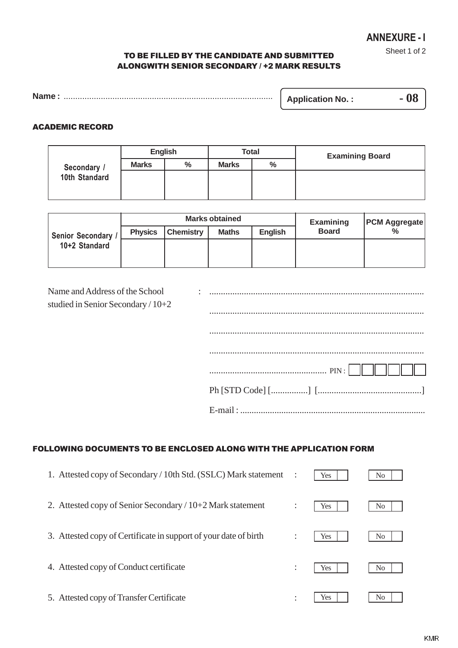Sheet 1 of 2

#### TO BE FILLED BY THE CANDIDATE AND SUBMITTED ALONGWITH SENIOR SECONDARY / +2 MARK RESULTS

| <b>Name</b> | <b>Application No.:</b> |  |
|-------------|-------------------------|--|
|-------------|-------------------------|--|

#### ACADEMIC RECORD

|               | <b>English</b> |      | <b>Total</b> |               | <b>Examining Board</b> |  |
|---------------|----------------|------|--------------|---------------|------------------------|--|
| Secondary /   | <b>Marks</b>   | $\%$ | <b>Marks</b> | $\frac{0}{0}$ |                        |  |
| 10th Standard |                |      |              |               |                        |  |
|               |                |      |              |               |                        |  |

|                                   | <b>Marks obtained</b> |                  |              |                | <b>Examining</b> | <b>PCM Aggregate</b> |  |
|-----------------------------------|-----------------------|------------------|--------------|----------------|------------------|----------------------|--|
| Senior Secondary<br>10+2 Standard | <b>Physics</b>        | <b>Chemistry</b> | <b>Maths</b> | <b>English</b> | <b>Board</b>     | $\%$                 |  |
|                                   |                       |                  |              |                |                  |                      |  |
|                                   |                       |                  |              |                |                  |                      |  |

| Name and Address of the School<br>studied in Senior Secondary $/ 10+2$ |                       |
|------------------------------------------------------------------------|-----------------------|
|                                                                        |                       |
|                                                                        |                       |
|                                                                        |                       |
|                                                                        |                       |
|                                                                        | $Ph [STD Code] [] []$ |
|                                                                        |                       |

#### FOLLOWING DOCUMENTS TO BE ENCLOSED ALONG WITH THE APPLICATION FORM

| 1. Attested copy of Secondary / 10th Std. (SSLC) Mark statement  |                      | Yes        | No. |
|------------------------------------------------------------------|----------------------|------------|-----|
| 2. Attested copy of Senior Secondary / $10+2$ Mark statement     | $\ddot{\phantom{a}}$ | Yes        | No. |
| 3. Attested copy of Certificate in support of your date of birth |                      | <b>Yes</b> | No. |
| 4. Attested copy of Conduct certificate                          | ÷                    | Yes        | No. |
| 5. Attested copy of Transfer Certificate                         | $\bullet$            | Yes        | No. |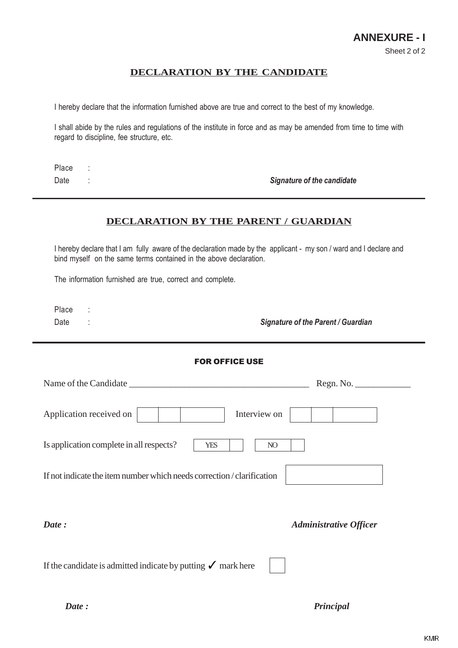### **DECLARATION BY THE CANDIDATE**

I hereby declare that the information furnished above are true and correct to the best of my knowledge.

I shall abide by the rules and regulations of the institute in force and as may be amended from time to time with regard to discipline, fee structure, etc.

Place :

Date : the candidate of the candidate of the candidate of the candidate of the candidate of the candidate of the candidate of the candidate of the candidate of the candidate of the candidate of the candidate of the candida

#### **DECLARATION BY THE PARENT / GUARDIAN**

I hereby declare that I am fully aware of the declaration made by the applicant - my son / ward and I declare and bind myself on the same terms contained in the above declaration.

The information furnished are true, correct and complete.

Place :

Date : Signature of the Parent / Guardian

#### FOR OFFICE USE

*Date : Principal*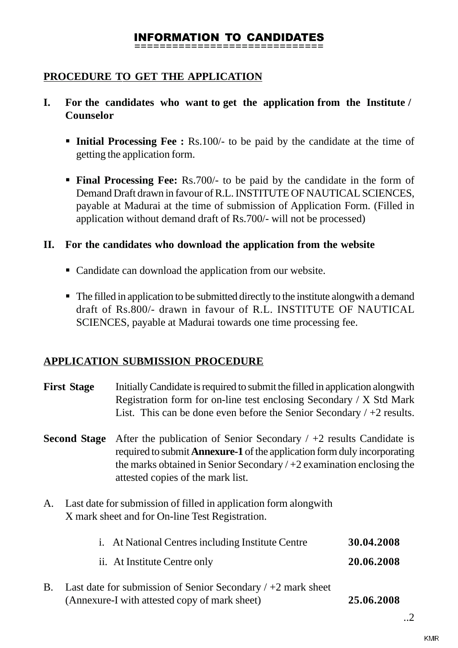# INFORMATION TO CANDIDATES

**==============================**

# **PROCEDURE TO GET THE APPLICATION**

- **I. For the candidates who want to get the application from the Institute / Counselor**
	- § **Initial Processing Fee :** Rs.100/- to be paid by the candidate at the time of getting the application form.
	- § **Final Processing Fee:** Rs.700/- to be paid by the candidate in the form of Demand Draft drawn in favour of R.L. INSTITUTE OF NAUTICAL SCIENCES, payable at Madurai at the time of submission of Application Form. (Filled in application without demand draft of Rs.700/- will not be processed)

# **II. For the candidates who download the application from the website**

- Candidate can download the application from our website.
- The filled in application to be submitted directly to the institute alongwith a demand draft of Rs.800/- drawn in favour of R.L. INSTITUTE OF NAUTICAL SCIENCES, payable at Madurai towards one time processing fee.

# **APPLICATION SUBMISSION PROCEDURE**

|                                                                                                                                                                                                                                                                                                  | <b>First Stage</b>                                                                                                   | Initially Candidate is required to submit the filled in application along with<br>Registration form for on-line test enclosing Secondary / X Std Mark<br>List. This can be done even before the Senior Secondary $/ +2$ results. |            |  |  |  |
|--------------------------------------------------------------------------------------------------------------------------------------------------------------------------------------------------------------------------------------------------------------------------------------------------|----------------------------------------------------------------------------------------------------------------------|----------------------------------------------------------------------------------------------------------------------------------------------------------------------------------------------------------------------------------|------------|--|--|--|
| After the publication of Senior Secondary $/ +2$ results Candidate is<br><b>Second Stage</b><br>required to submit <b>Annexure-1</b> of the application form duly incorporating<br>the marks obtained in Senior Secondary $/ + 2$ examination enclosing the<br>attested copies of the mark list. |                                                                                                                      |                                                                                                                                                                                                                                  |            |  |  |  |
| A.                                                                                                                                                                                                                                                                                               | Last date for submission of filled in application form along with<br>X mark sheet and for On-line Test Registration. |                                                                                                                                                                                                                                  |            |  |  |  |
|                                                                                                                                                                                                                                                                                                  |                                                                                                                      | i. At National Centres including Institute Centre                                                                                                                                                                                | 30.04.2008 |  |  |  |
|                                                                                                                                                                                                                                                                                                  |                                                                                                                      | ii. At Institute Centre only                                                                                                                                                                                                     | 20.06.2008 |  |  |  |
| <b>B.</b>                                                                                                                                                                                                                                                                                        |                                                                                                                      | Last date for submission of Senior Secondary $/ +2$ mark sheet<br>(Annexure-I with attested copy of mark sheet)                                                                                                                  | 25.06.2008 |  |  |  |

..2